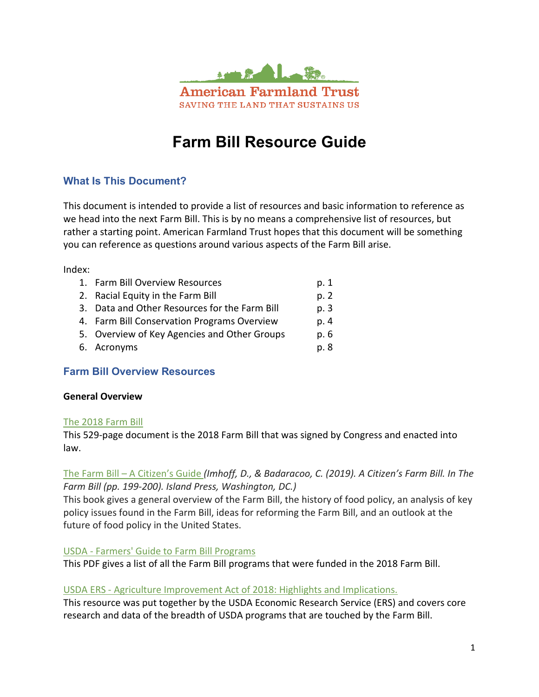

# **Farm Bill Resource Guide**

# **What Is This Document?**

This document is intended to provide a list of resources and basic information to reference as we head into the next Farm Bill. This is by no means a comprehensive list of resources, but rather a starting point. American Farmland Trust hopes that this document will be something you can reference as questions around various aspects of the Farm Bill arise.

Index:

| 1. Farm Bill Overview Resources               | p. 1 |
|-----------------------------------------------|------|
| 2. Racial Equity in the Farm Bill             | p. 2 |
| 3. Data and Other Resources for the Farm Bill | p. 3 |
| 4. Farm Bill Conservation Programs Overview   | p. 4 |
| 5. Overview of Key Agencies and Other Groups  | p. 6 |
| 6. Acronyms                                   | p. 8 |

# **Farm Bill Overview Resources**

#### **General Overview**

#### [The 2018 Farm Bill](https://www.congress.gov/115/bills/hr2/BILLS-115hr2enr.pdf)

This 529-page document is the 2018 Farm Bill that was signed by Congress and enacted into law.

#### The Farm Bill – [A Citizen's Guide](https://islandpress.org/books/farm-bill) *(Imhoff, D., & Badaracoo, C. (2019). A Citizen's Farm Bill. In The Farm Bill (pp. 199-200). Island Press, Washington, DC.)*

This book gives a general overview of the Farm Bill, the history of food policy, an analysis of key policy issues found in the Farm Bill, ideas for reforming the Farm Bill, and an outlook at the future of food policy in the United States.

#### USDA - Farmers' [Guide to Farm Bill Programs](https://www.farmers.gov/sites/default/files/documents/FarmBill-2018-Brochure-11x17.pdf)

This PDF gives a list of all the Farm Bill programs that were funded in the 2018 Farm Bill.

#### USDA ERS - [Agriculture Improvement Act of 2018: Highlights and Implications.](https://www.ers.usda.gov/agriculture-improvement-act-of-2018-highlights-and-implications/)

This resource was put together by the USDA Economic Research Service (ERS) and covers core research and data of the breadth of USDA programs that are touched by the Farm Bill.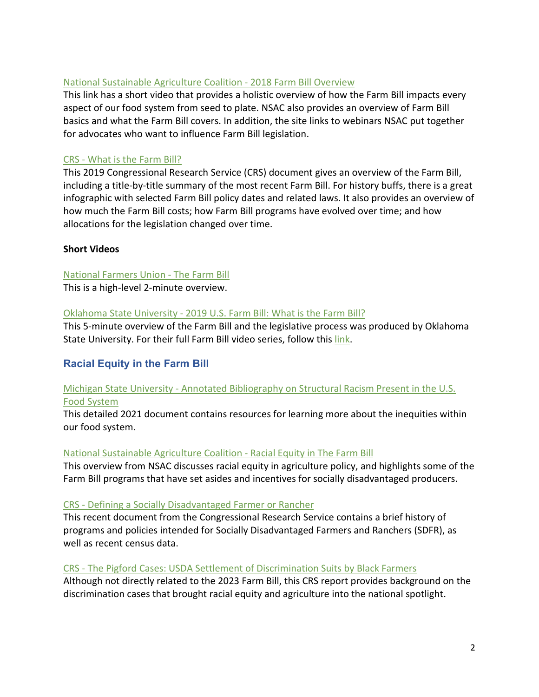#### [National Sustainable Agriculture Coalition](https://sustainableagriculture.net/our-work/campaigns/fbcampaign/what-is-the-farm-bill/) - 2018 Farm Bill Overview

This link has a short video that provides a holistic overview of how the Farm Bill impacts every aspect of our food system from seed to plate. NSAC also provides an overview of Farm Bill basics and what the Farm Bill covers. In addition, the site links to webinars NSAC put together for advocates who want to influence Farm Bill legislation.

# CRS - [What is the Farm Bill?](https://sgp.fas.org/crs/misc/RS22131.pdf)

This 2019 Congressional Research Service (CRS) document gives an overview of the Farm Bill, including a title-by-title summary of the most recent Farm Bill. For history buffs, there is a great infographic with selected Farm Bill policy dates and related laws. It also provides an overview of how much the Farm Bill costs; how Farm Bill programs have evolved over time; and how allocations for the legislation changed over time.

# **Short Videos**

# [National Farmers Union](https://www.youtube.com/watch?v=0CzRkyx616s) - The Farm Bill

This is a high-level 2-minute overview.

#### Oklahoma State University - [2019 U.S. Farm Bill: What is the Farm Bill?](https://www.youtube.com/watch?v=D5iZozUzwsc)

This 5-minute overview of the Farm Bill and the legislative process was produced by Oklahoma State University. For their full Farm Bill video series, follow this [link.](https://www.youtube.com/playlist?list=PLBX_xiiFGiPJVyh4hMHySnSeCC-u6lGNi)

# **Racial Equity in the Farm Bill**

# Michigan State University - Annotated Bibliography [on Structural Racism Present in the U.S.](https://www.canr.msu.edu/resources/structural_racism_in_us_food_system)  [Food System](https://www.canr.msu.edu/resources/structural_racism_in_us_food_system)

This detailed 2021 document contains resources for learning more about the inequities within our food system.

#### [National Sustainable Agriculture Coalition -](https://sustainableagriculture.net/blog/racial-equity-in-the-farm-bill/) Racial Equity in The Farm Bill

This overview from NSAC discusses racial equity in agriculture policy, and highlights some of the Farm Bill programs that have set asides and incentives for socially disadvantaged producers.

#### CRS - [Defining a Socially Disadvantaged Farmer or Rancher](https://crsreports.congress.gov/product/pdf/R/R46727/3)

This recent document from the Congressional Research Service contains a brief history of programs and policies intended for Socially Disadvantaged Farmers and Ranchers (SDFR), as well as recent census data.

#### CRS - [The Pigford Cases: USDA Settlement of Discrimination Suits by Black Farmers](https://www.everycrsreport.com/files/20130529_RS20430_dd9873a41009e49aa63cdc17a785093c21f8eb23.pdf)

Although not directly related to the 2023 Farm Bill, this CRS report provides background on the discrimination cases that brought racial equity and agriculture into the national spotlight.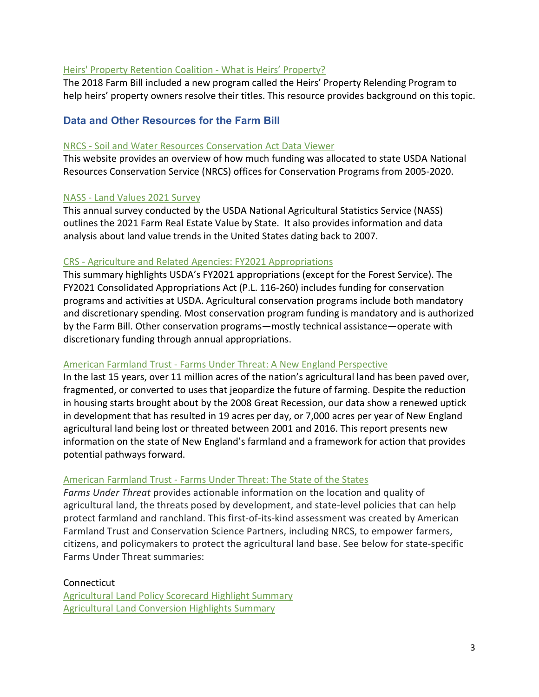#### [Heirs' Property Retention Coalition -](http://hprc.southerncoalition.org/?q=node/5) What is Heirs' Property?

The 2018 Farm Bill included a new program called the Heirs' Property Relending Program to help heirs' property owners resolve their titles. This resource provides background on this topic.

# **Data and Other Resources for the Farm Bill**

#### NRCS - [Soil and Water Resources Conservation Act Data Viewer](https://www.nrcs.usda.gov/wps/portal/nrcs/rca/national/technical/nra/rca/text/#Conservation%20Programs)

This website provides an overview of how much funding was allocated to state USDA National Resources Conservation Service (NRCS) offices for Conservation Programs from 2005-2020.

#### NASS - [Land Values 2021 Survey](https://www.nass.usda.gov/Publications/Todays_Reports/reports/land0821.pdf)

This annual survey conducted by the USDA National Agricultural Statistics Service (NASS) outlines the 2021 Farm Real Estate Value by State. It also provides information and data analysis about land value trends in the United States dating back to 2007.

#### CRS - [Agriculture and Related Agencies: FY2021 Appropriations](https://crsreports.congress.gov/product/pdf/R/R46437#:%7E:text=The%20enacted%20FY2021%20appropriation%20provides,Futures%20Trading%20Commission%20%5BCFTC%5D).)

This summary highlights USDA's FY2021 appropriations (except for the Forest Service). The FY2021 Consolidated Appropriations Act (P.L. 116-260) includes funding for conservation programs and activities at USDA. Agricultural conservation programs include both mandatory and discretionary spending. Most conservation program funding is mandatory and is authorized by the Farm Bill. Other conservation programs—mostly technical assistance—operate with discretionary funding through annual appropriations.

#### American Farmland Trust - Farms Under Threat: [A New England Perspective](https://farmlandinfo.org/publications/farms-under-threat-a-new-england-perspective/)

In the last 15 years, over 11 million acres of the nation's agricultural land has been paved over, fragmented, or converted to uses that jeopardize the future of farming. Despite the reduction in housing starts brought about by the 2008 Great Recession, our data show a renewed uptick in development that has resulted in 19 acres per day, or 7,000 acres per year of New England agricultural land being lost or threated between 2001 and 2016. This report presents new information on the state of New England's farmland and a framework for action that provides potential pathways forward.

#### American Farmland Trust - [Farms Under Threat: The State of the States](https://farmlandinfo.org/publications/farms-under-threat-the-state-of-the-states/)

*Farms Under Threat* provides actionable information on the location and quality of agricultural land, the threats posed by development, and state-level policies that can help protect farmland and ranchland. This first-of-its-kind assessment was created by American Farmland Trust and Conservation Science Partners, including NRCS, to empower farmers, citizens, and policymakers to protect the agricultural land base. See below for state-specific Farms Under Threat summaries:

#### Connecticut

[Agricultural Land Policy Scorecard Highlight Summary](https://storage.googleapis.com/csp-fut.appspot.com/reports/policy/Connecticut_policy.pdf) [Agricultural Land Conversion Highlights Summary](https://storage.googleapis.com/csp-fut.appspot.com/reports/policy/Connecticut_policy.pdf)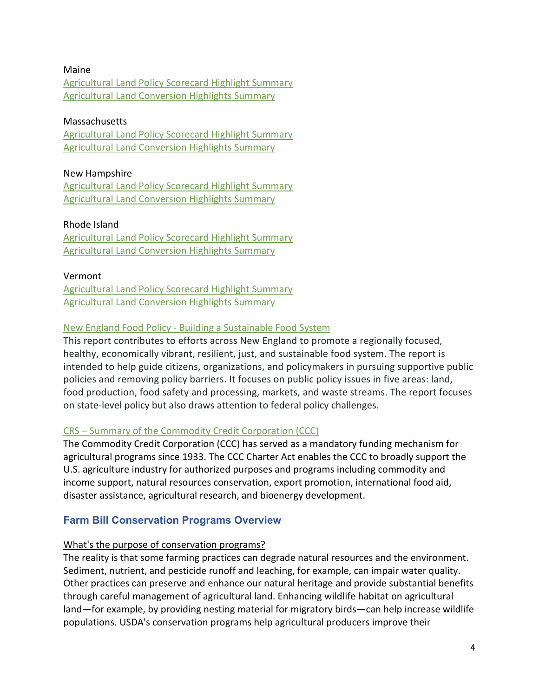#### Maine

[Agricultural Land Policy Scorecard Highlight Summary](https://storage.googleapis.com/csp-fut.appspot.com/reports/policy/Maine_policy.pdf) [Agricultural Land Conversion Highlights Summary](https://storage.googleapis.com/csp-fut.appspot.com/reports/spatial/Maine_spatial.pdf)

#### Massachusetts

[Agricultural Land Policy Scorecard Highlight Summary](https://storage.googleapis.com/csp-fut.appspot.com/reports/policy/Massachusetts_policy.pdf) [Agricultural Land Conversion Highlights Summary](https://storage.googleapis.com/csp-fut.appspot.com/reports/spatial/Massachusetts_spatial.pdf)

#### New Hampshire

[Agricultural Land Policy Scorecard Highlight Summary](https://storage.googleapis.com/csp-fut.appspot.com/reports/policy/New_Hampshire_policy.pdf) [Agricultural Land Conversion Highlights Summary](https://storage.googleapis.com/csp-fut.appspot.com/reports/spatial/New_Hampshire_spatial.pdf)

#### Rhode Island

[Agricultural Land Policy Scorecard Highlight Summary](https://storage.googleapis.com/csp-fut.appspot.com/reports/policy/Rhode_Island_policy.pdf) [Agricultural Land Conversion Highlights Summary](https://storage.googleapis.com/csp-fut.appspot.com/reports/spatial/Rhode_Island_spatial.pdf)

#### Vermont

[Agricultural Land Policy Scorecard Highlight Summary](https://storage.googleapis.com/csp-fut.appspot.com/reports/policy/Vermont_policy.pdf) [Agricultural Land Conversion Highlights Summary](https://storage.googleapis.com/csp-fut.appspot.com/reports/spatial/Vermont_spatial.pdf)

#### New England Food Policy - [Building a Sustainable Food System](https://www.clf.org/publication/new-england-food-policy-building-sustainable-food-system/)

This report contributes to efforts across New England to promote a regionally focused, healthy, economically vibrant, resilient, just, and sustainable food system. The report is intended to help guide citizens, organizations, and policymakers in pursuing supportive public policies and removing policy barriers. It focuses on public policy issues in five areas: land, food production, food safety and processing, markets, and waste streams. The report focuses on state-level policy but also draws attention to federal policy challenges.

#### CRS – [Summary of the Commodity Credit Corporation \(CCC\)](https://crsreports.congress.gov/product/pdf/R/R44606)

The Commodity Credit Corporation (CCC) has served as a mandatory funding mechanism for agricultural programs since 1933. The CCC Charter Act enables the CCC to broadly support the U.S. agriculture industry for authorized purposes and programs including commodity and income support, natural resources conservation, export promotion, international food aid, disaster assistance, agricultural research, and bioenergy development.

# **Farm Bill Conservation Programs Overview**

#### What's the purpose of conservation programs?

The reality is that some farming practices can degrade natural resources and the environment. Sediment, nutrient, and pesticide runoff and leaching, for example, can impair water quality. Other practices can preserve and enhance our natural heritage and provide substantial benefits through careful management of agricultural land. Enhancing wildlife habitat on agricultural land—for example, by providing nesting material for migratory birds—can help increase wildlife populations. USDA's conservation programs help agricultural producers improve their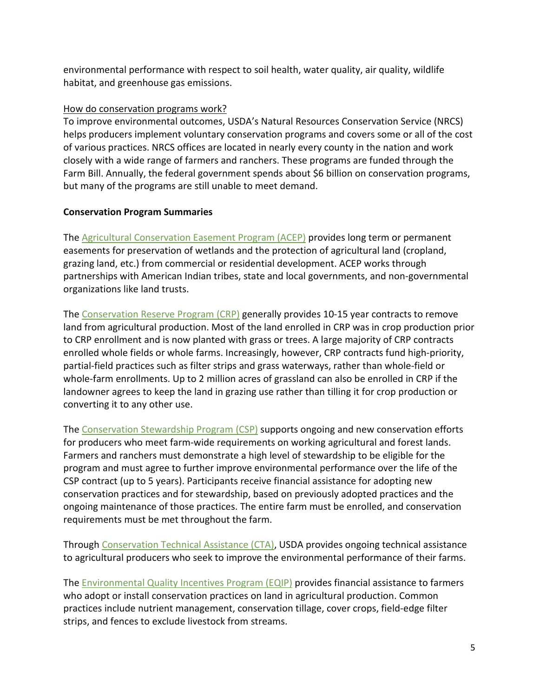environmental performance with respect to soil health, water quality, air quality, wildlife habitat, and greenhouse gas emissions.

#### How do conservation programs work?

To improve environmental outcomes, USDA's Natural Resources Conservation Service (NRCS) helps producers implement voluntary conservation programs and covers some or all of the cost of various practices. NRCS offices are located in nearly every county in the nation and work closely with a wide range of farmers and ranchers. These programs are funded through the Farm Bill. Annually, the federal government spends about \$6 billion on conservation programs, but many of the programs are still unable to meet demand.

#### **Conservation Program Summaries**

The [Agricultural Conservation Easement Program \(ACEP\)](https://www.nrcs.usda.gov/wps/portal/nrcs/main/national/programs/easements/acep/) provides long term or permanent easements for preservation of wetlands and the protection of agricultural land (cropland, grazing land, etc.) from commercial or residential development. ACEP works through partnerships with American Indian tribes, state and local governments, and non-governmental organizations like land trusts.

The [Conservation Reserve Program \(CRP\)](https://www.fsa.usda.gov/programs-and-services/conservation-programs/conservation-reserve-program/) generally provides 10-15 year contracts to remove land from agricultural production. Most of the land enrolled in CRP was in crop production prior to CRP enrollment and is now planted with grass or trees. A large majority of CRP contracts enrolled whole fields or whole farms. Increasingly, however, CRP contracts fund high-priority, partial-field practices such as filter strips and grass waterways, rather than whole-field or whole-farm enrollments. Up to 2 million acres of grassland can also be enrolled in CRP if the landowner agrees to keep the land in grazing use rather than tilling it for crop production or converting it to any other use.

The [Conservation Stewardship Program \(CSP\)](https://www.nrcs.usda.gov/wps/portal/nrcs/main/national/programs/financial/csp/) supports ongoing and new conservation efforts for producers who meet farm-wide requirements on working agricultural and forest lands. Farmers and ranchers must demonstrate a high level of stewardship to be eligible for the program and must agree to further improve environmental performance over the life of the CSP contract (up to 5 years). Participants receive financial assistance for adopting new conservation practices and for stewardship, based on previously adopted practices and the ongoing maintenance of those practices. The entire farm must be enrolled, and conservation requirements must be met throughout the farm.

Through [Conservation Technical Assistance \(CTA\),](https://www.nrcs.usda.gov/wps/portal/nrcs/main/national/programs/technical/) USDA provides ongoing technical assistance to agricultural producers who seek to improve the environmental performance of their farms.

The [Environmental Quality Incentives Program \(EQIP\)](https://www.nrcs.usda.gov/wps/portal/nrcs/main/national/programs/financial/eqip/) provides financial assistance to farmers who adopt or install conservation practices on land in agricultural production. Common practices include nutrient management, conservation tillage, cover crops, field-edge filter strips, and fences to exclude livestock from streams.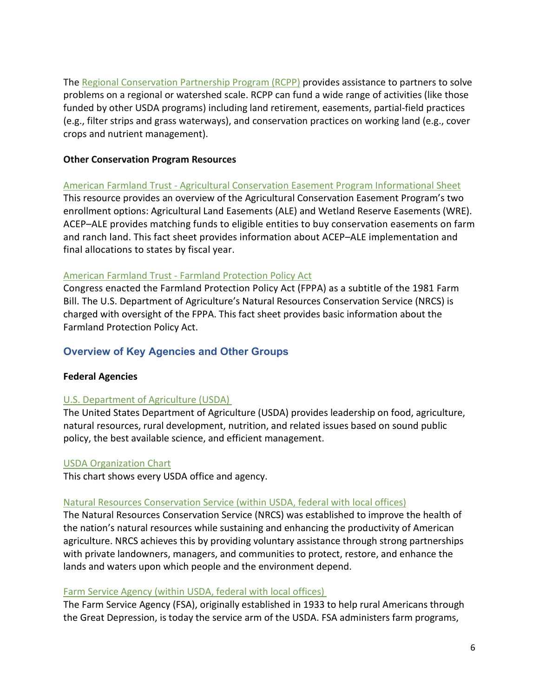The [Regional Conservation Partnership Program \(RCPP\)](https://www.nrcs.usda.gov/wps/portal/nrcs/main/national/programs/financial/rcpp/) provides assistance to partners to solve problems on a regional or watershed scale. RCPP can fund a wide range of activities (like those funded by other USDA programs) including land retirement, easements, partial-field practices (e.g., filter strips and grass waterways), and conservation practices on working land (e.g., cover crops and nutrient management).

#### **[Other Conservation Program Resources](https://farmlandinfo.org/publications/agricultural-conservation-easement-program-agricultural-land-easements/)**

American Farmland Trust - [Agricultural Conservation Easement Program Informational S](https://s30428.pcdn.co/wp-content/uploads/sites/2/2015/11/AFT_FIC_ACEP-ALE_JAN2020_final.pdf)heet This resource provides an overview of the Agricultural Conservation Easement Program's two enrollment options: Agricultural Land Easements (ALE) and Wetland Reserve Easements (WRE). ACEP–ALE provides matching funds to eligible entities to buy conservation easements on farm and ranch land. This fact sheet provides information about ACEP–ALE implementation and final allocations to states by fiscal year.

#### American Farmland Trust - [Farmland Protection Policy Act](https://s30428.pcdn.co/wp-content/uploads/sites/2/2020/02/FPPA_AFT_FIC_2021.pdf)

Congress enacted the Farmland Protection Policy Act (FPPA) as a subtitle of the 1981 Farm Bill. The U.S. Department of Agriculture's Natural Resources Conservation Service (NRCS) is charged with oversight of the FPPA. This fact sheet provides basic information about the Farmland Protection Policy Act.

# **Overview of Key Agencies and Other Groups**

#### **Federal Agencies**

#### [U.S. Department of Agriculture \(USDA\)](https://www.usda.gov/)

The United States Department of Agriculture (USDA) provides leadership on food, agriculture, natural resources, rural development, nutrition, and related issues based on sound public policy, the best available science, and efficient management.

#### [USDA Organization Chart](https://www.usda.gov/sites/default/files/documents/usda-organization-chart.pdf)

This chart shows every USDA office and agency.

#### [Natural Resources Conservation Service \(within USDA, federal with local offices\)](https://www.nrcs.usda.gov/)

The Natural Resources Conservation Service (NRCS) was established to improve the health of the nation's natural resources while sustaining and enhancing the productivity of American agriculture. NRCS achieves this by providing voluntary assistance through strong partnerships with private landowners, managers, and communities to protect, restore, and enhance the lands and waters upon which people and the environment depend.

#### [Farm Service Agency \(within USDA, federal with local offices\)](https://www.fsa.usda.gov/)

The Farm Service Agency (FSA), originally established in 1933 to help rural Americans through the Great Depression, is today the service arm of the USDA. FSA administers farm programs,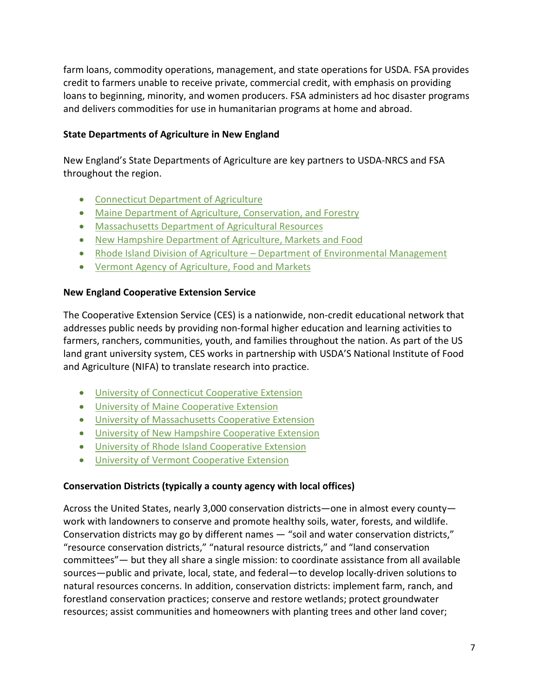farm loans, commodity operations, management, and state operations for USDA. FSA provides credit to farmers unable to receive private, commercial credit, with emphasis on providing loans to beginning, minority, and women producers. FSA administers ad hoc disaster programs and delivers commodities for use in humanitarian programs at home and abroad.

## **State Departments of Agriculture in New England**

New England's State Departments of Agriculture are key partners to USDA-NRCS and FSA throughout the region.

- [Connecticut Department of Agriculture](https://portal.ct.gov/DOAG)
- [Maine Department of Agriculture, Conservation, and Forestry](https://www.maine.gov/dacf/)
- [Massachusetts Department of Agricultural Resources](https://www.mass.gov/orgs/massachusetts-department-of-agricultural-resources)
- [New Hampshire Department of Agriculture, Markets and Food](https://www.agriculture.nh.gov/)
- Rhode Island Division of Agriculture [Department of Environmental Management](http://www.dem.ri.gov/programs/agriculture/)
- [Vermont Agency of Agriculture, Food and Markets](https://agriculture.vermont.gov/)

#### **New England Cooperative Extension Service**

The Cooperative Extension Service (CES) is a nationwide, non-credit educational network that addresses public needs by providing non-formal higher education and learning activities to farmers, ranchers, communities, youth, and families throughout the nation. As part of the US land grant university system, CES works in partnership with USDA'S National Institute of Food and Agriculture (NIFA) to translate research into practice.

- [University of Connecticut Cooperative Extension](https://cahnr.uconn.edu/extension/)
- [University of Maine Cooperative Extension](https://extension.umaine.edu/)
- [University of Massachusetts Cooperative Extension](https://ag.umass.edu/)
- [University of New Hampshire Cooperative Extension](https://extension.unh.edu/)
- [University of Rhode Island Cooperative Extension](https://web.uri.edu/coopext/)
- University of [Vermont Cooperative Extension](https://www.uvm.edu/extension)

#### **Conservation Districts (typically a county agency with local offices)**

Across the United States, nearly 3,000 conservation districts—one in almost every county work with landowners to conserve and promote healthy soils, water, forests, and wildlife. Conservation districts may go by different names — "soil and water conservation districts," "resource conservation districts," "natural resource districts," and "land conservation committees"— but they all share a single mission: to coordinate assistance from all available sources—public and private, local, state, and federal—to develop locally-driven solutions to natural resources concerns. In addition, conservation districts: implement farm, ranch, and forestland conservation practices; conserve and restore wetlands; protect groundwater resources; assist communities and homeowners with planting trees and other land cover;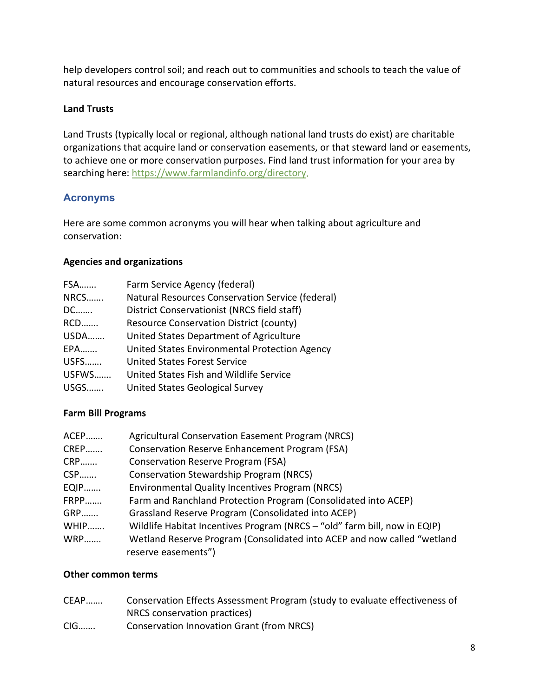help developers control soil; and reach out to communities and schools to teach the value of natural resources and encourage conservation efforts.

## **Land Trusts**

Land Trusts (typically local or regional, although national land trusts do exist) are charitable organizations that acquire land or conservation easements, or that steward land or easements, to achieve one or more conservation purposes. Find land trust information for your area by searching here: [https://www.farmlandinfo.org/directory.](https://www.farmlandinfo.org/directory)

# **Acronyms**

Here are some common acronyms you will hear when talking about agriculture and conservation:

#### **Agencies and organizations**

| <b>FSA</b>  | Farm Service Agency (federal)                    |
|-------------|--------------------------------------------------|
| NRCS        | Natural Resources Conservation Service (federal) |
| DC          | District Conservationist (NRCS field staff)      |
| <b>RCD</b>  | <b>Resource Conservation District (county)</b>   |
| <b>USDA</b> | United States Department of Agriculture          |
| <b>EPA</b>  | United States Environmental Protection Agency    |
| <b>USFS</b> | <b>United States Forest Service</b>              |
| USFWS       | United States Fish and Wildlife Service          |
| <b>USGS</b> | United States Geological Survey                  |

#### **Farm Bill Programs**

| ACEP       | <b>Agricultural Conservation Easement Program (NRCS)</b>                  |
|------------|---------------------------------------------------------------------------|
| CREP       | Conservation Reserve Enhancement Program (FSA)                            |
| <b>CRP</b> | <b>Conservation Reserve Program (FSA)</b>                                 |
| CSP        | <b>Conservation Stewardship Program (NRCS)</b>                            |
| EQIP       | Environmental Quality Incentives Program (NRCS)                           |
| FRPP       | Farm and Ranchland Protection Program (Consolidated into ACEP)            |
| <b>GRP</b> | Grassland Reserve Program (Consolidated into ACEP)                        |
| WHIP       | Wildlife Habitat Incentives Program (NRCS - "old" farm bill, now in EQIP) |
| <b>WRP</b> | Wetland Reserve Program (Consolidated into ACEP and now called "wetland   |
|            | reserve easements")                                                       |

#### **Other common terms**

| CEAP  | Conservation Effects Assessment Program (study to evaluate effectiveness of |
|-------|-----------------------------------------------------------------------------|
|       | NRCS conservation practices)                                                |
| $CIG$ | <b>Conservation Innovation Grant (from NRCS)</b>                            |